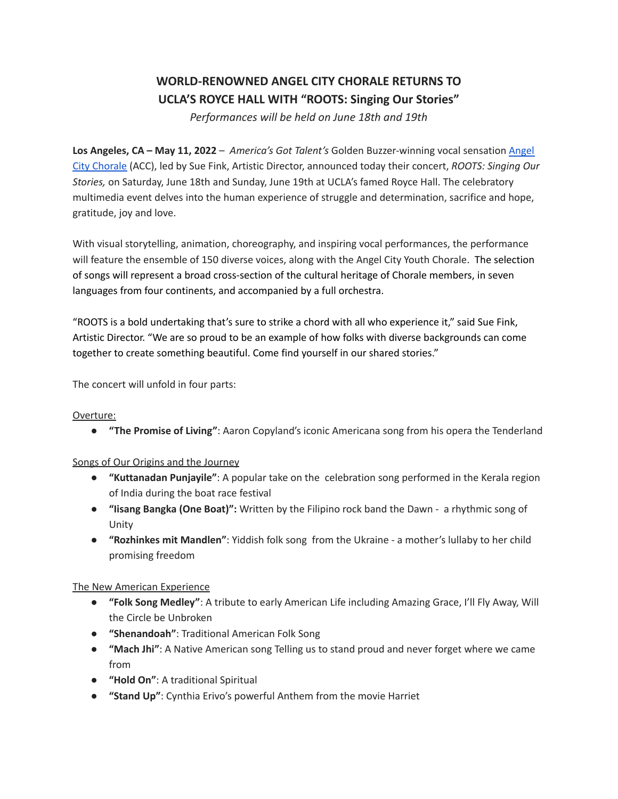# **WORLD-RENOWNED ANGEL CITY CHORALE RETURNS TO UCLA'S ROYCE HALL WITH "ROOTS: Singing Our Stories"**

*Performances will be held on June 18th and 19th*

**Los Angeles, CA – May 11, 2022** – *America's Got Talent's* Golden Buzzer-winning vocal sensation [Angel](https://angelcitychorale.org/) City [Chorale](https://angelcitychorale.org/) (ACC), led by Sue Fink, Artistic Director, announced today their concert, *ROOTS: Singing Our Stories,* on Saturday, June 18th and Sunday, June 19th at UCLA's famed Royce Hall. The celebratory multimedia event delves into the human experience of struggle and determination, sacrifice and hope, gratitude, joy and love.

With visual storytelling, animation, choreography, and inspiring vocal performances, the performance will feature the ensemble of 150 diverse voices, along with the Angel City Youth Chorale. The selection of songs will represent a broad cross-section of the cultural heritage of Chorale members, in seven languages from four continents, and accompanied by a full orchestra.

"ROOTS is a bold undertaking that's sure to strike a chord with all who experience it," said Sue Fink, Artistic Director. "We are so proud to be an example of how folks with diverse backgrounds can come together to create something beautiful. Come find yourself in our shared stories."

The concert will unfold in four parts:

### Overture:

● **"The Promise of Living"**: Aaron Copyland's iconic Americana song from his opera the Tenderland

### Songs of Our Origins and the Journey

- **"Kuttanadan Punjayile"**: A popular take on the celebration song performed in the Kerala region of India during the boat race festival
- **"Iisang Bangka (One Boat)":** Written by the Filipino rock band the Dawn a rhythmic song of Unity
- **"Rozhinkes mit Mandlen"**: Yiddish folk song from the Ukraine a mother's lullaby to her child promising freedom

### The New American Experience

- **"Folk Song Medley"**: A tribute to early American Life including Amazing Grace, I'll Fly Away, Will the Circle be Unbroken
- **"Shenandoah"**: Traditional American Folk Song
- **"Mach Jhi"**: A Native American song Telling us to stand proud and never forget where we came from
- **"Hold On"**: A traditional Spiritual
- **"Stand Up"**: Cynthia Erivo's powerful Anthem from the movie Harriet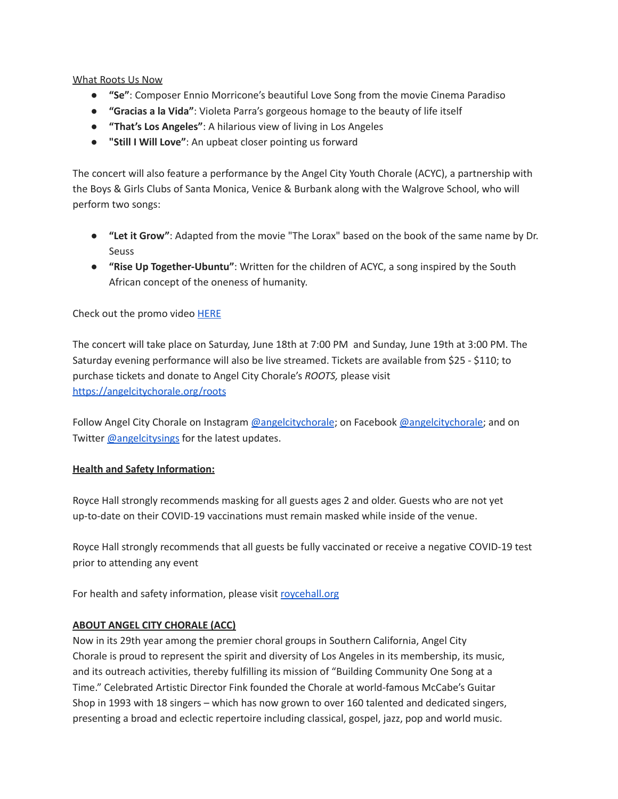What Roots Us Now

- **"Se"**: Composer Ennio Morricone's beautiful Love Song from the movie Cinema Paradiso
- **"Gracias a la Vida"**: Violeta Parra's gorgeous homage to the beauty of life itself
- **"That's Los Angeles"**: A hilarious view of living in Los Angeles
- **"Still I Will Love"**: An upbeat closer pointing us forward

The concert will also feature a performance by the Angel City Youth Chorale (ACYC), a partnership with the Boys & Girls Clubs of Santa Monica, Venice & Burbank along with the Walgrove School, who will perform two songs:

- **"Let it Grow"**: Adapted from the movie "The Lorax" based on the book of the same name by Dr. Seuss
- **"Rise Up Together-Ubuntu"**: Written for the children of ACYC, a song inspired by the South African concept of the oneness of humanity.

Check out the promo video [HERE](https://youtu.be/RN5LRBRMVMU)

The concert will take place on Saturday, June 18th at 7:00 PM and Sunday, June 19th at 3:00 PM. The Saturday evening performance will also be live streamed. Tickets are available from \$25 - \$110; to purchase tickets and donate to Angel City Chorale's *ROOTS,* please visit <https://angelcitychorale.org/roots>

Follow Angel City Chorale on Instagram [@angelcitychorale](https://www.instagram.com/angelcitychorale/?hl=en); on Facebook [@angelcitychorale;](https://www.facebook.com/AngelCityChorale/) and on Twitter [@angelcitysings](https://twitter.com/AngelCitySings?ref_src=twsrc%5Egoogle%7Ctwcamp%5Eserp%7Ctwgr%5Eauthor) for the latest updates.

# **Health and Safety Information:**

Royce Hall strongly recommends masking for all guests ages 2 and older. Guests who are not yet up-to-date on their COVID-19 vaccinations must remain masked while inside of the venue.

Royce Hall strongly recommends that all guests be fully vaccinated or receive a negative COVID-19 test prior to attending any event

For health and safety information, please visit [roycehall.org](http://roycehall.org)

# **ABOUT ANGEL CITY CHORALE (ACC)**

Now in its 29th year among the premier choral groups in Southern California, Angel City Chorale is proud to represent the spirit and diversity of Los Angeles in its membership, its music, and its outreach activities, thereby fulfilling its mission of "Building Community One Song at a Time." Celebrated Artistic Director Fink founded the Chorale at world-famous McCabe's Guitar Shop in 1993 with 18 singers – which has now grown to over 160 talented and dedicated singers, presenting a broad and eclectic repertoire including classical, gospel, jazz, pop and world music.